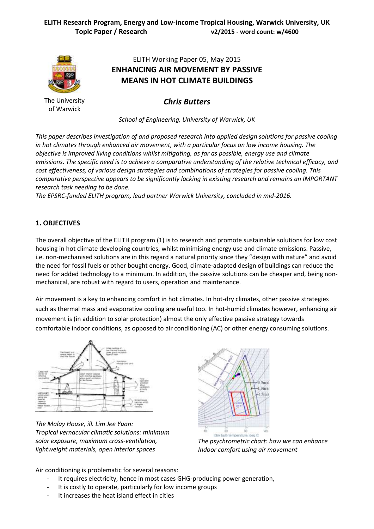

The University of Warwick

# ELITH Working Paper 05, May 2015 **ENHANCING AIR MOVEMENT BY PASSIVE MEANS IN HOT CLIMATE BUILDINGS**

*Chris Butters*

*School of Engineering, University of Warwick, UK*

*This paper describes investigation of and proposed research into applied design solutions for passive cooling in hot climates through enhanced air movement, with a particular focus on low income housing. The objective is improved living conditions whilst mitigating, as far as possible, energy use and climate emissions. The specific need is to achieve a comparative understanding of the relative technical efficacy, and cost effectiveness, of various design strategies and combinations of strategies for passive cooling. This comparative perspective appears to be significantly lacking in existing research and remains an IMPORTANT research task needing to be done.*

*The EPSRC-funded ELITH program, lead partner Warwick University, concluded in mid-2016.*

# **1. OBJECTIVES**

The overall objective of the ELITH program (1) is to research and promote sustainable solutions for low cost housing in hot climate developing countries, whilst minimising energy use and climate emissions. Passive, i.e. non-mechanised solutions are in this regard a natural priority since they "design with nature" and avoid the need for fossil fuels or other bought energy. Good, climate-adapted design of buildings can reduce the need for added technology to a minimum. In addition, the passive solutions can be cheaper and, being nonmechanical, are robust with regard to users, operation and maintenance.

Air movement is a key to enhancing comfort in hot climates. In hot-dry climates, other passive strategies such as thermal mass and evaporative cooling are useful too. In hot-humid climates however, enhancing air movement is (in addition to solar protection) almost the only effective passive strategy towards comfortable indoor conditions, as opposed to air conditioning (AC) or other energy consuming solutions.



*The Malay House, ill. Lim Jee Yuan: Tropical vernacular climatic solutions: minimum solar exposure, maximum cross-ventilation, lightweight materials, open interior spaces*



*The psychrometric chart: how we can enhance Indoor comfort using air movement*

Air conditioning is problematic for several reasons:

- It requires electricity, hence in most cases GHG-producing power generation,
- It is costly to operate, particularly for low income groups
- It increases the heat island effect in cities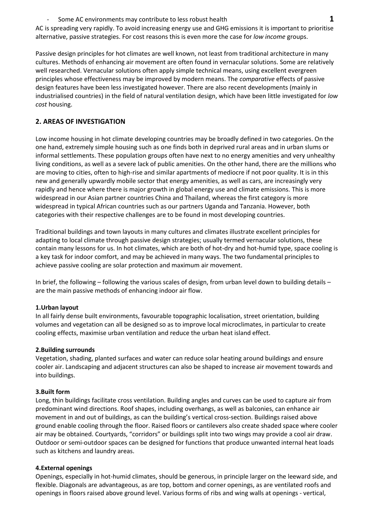- Some AC environments may contribute to less robust health **1**

AC is spreading very rapidly. To avoid increasing energy use and GHG emissions it is important to prioritise alternative, passive strategies. For cost reasons this is even more the case for *low income* groups.

Passive design principles for hot climates are well known, not least from traditional architecture in many cultures. Methods of enhancing air movement are often found in vernacular solutions. Some are relatively well researched. Vernacular solutions often apply simple technical means, using excellent evergreen principles whose effectiveness may be improved by modern means. The *comparative* effects of passive design features have been less investigated however. There are also recent developments (mainly in industrialised countries) in the field of natural ventilation design, which have been little investigated for *low cost* housing.

## **2. AREAS OF INVESTIGATION**

Low income housing in hot climate developing countries may be broadly defined in two categories. On the one hand, extremely simple housing such as one finds both in deprived rural areas and in urban slums or informal settlements. These population groups often have next to no energy amenities and very unhealthy living conditions, as well as a severe lack of public amenities. On the other hand, there are the millions who are moving to cities, often to high-rise and similar apartments of mediocre if not poor quality. It is in this new and generally upwardly mobile sector that energy amenities, as well as cars, are increasingly very rapidly and hence where there is major growth in global energy use and climate emissions. This is more widespread in our Asian partner countries China and Thailand, whereas the first category is more widespread in typical African countries such as our partners Uganda and Tanzania. However, both categories with their respective challenges are to be found in most developing countries.

Traditional buildings and town layouts in many cultures and climates illustrate excellent principles for adapting to local climate through passive design strategies; usually termed vernacular solutions, these contain many lessons for us. In hot climates, which are both of hot-dry and hot-humid type, space cooling is a key task for indoor comfort, and may be achieved in many ways. The two fundamental principles to achieve passive cooling are solar protection and maximum air movement.

In brief, the following – following the various scales of design, from urban level down to building details – are the main passive methods of enhancing indoor air flow.

### **1.Urban layout**

In all fairly dense built environments, favourable topographic localisation, street orientation, building volumes and vegetation can all be designed so as to improve local microclimates, in particular to create cooling effects, maximise urban ventilation and reduce the urban heat island effect.

### **2.Building surrounds**

Vegetation, shading, planted surfaces and water can reduce solar heating around buildings and ensure cooler air. Landscaping and adjacent structures can also be shaped to increase air movement towards and into buildings.

### **3.Built form**

Long, thin buildings facilitate cross ventilation. Building angles and curves can be used to capture air from predominant wind directions. Roof shapes, including overhangs, as well as balconies, can enhance air movement in and out of buildings, as can the building's vertical cross-section. Buildings raised above ground enable cooling through the floor. Raised floors or cantilevers also create shaded space where cooler air may be obtained. Courtyards, "corridors" or buildings split into two wings may provide a cool air draw. Outdoor or semi-outdoor spaces can be designed for functions that produce unwanted internal heat loads such as kitchens and laundry areas.

### **4.External openings**

Openings, especially in hot-humid climates, should be generous, in principle larger on the leeward side, and flexible. Diagonals are advantageous, as are top, bottom and corner openings, as are ventilated roofs and openings in floors raised above ground level. Various forms of ribs and wing walls at openings - vertical,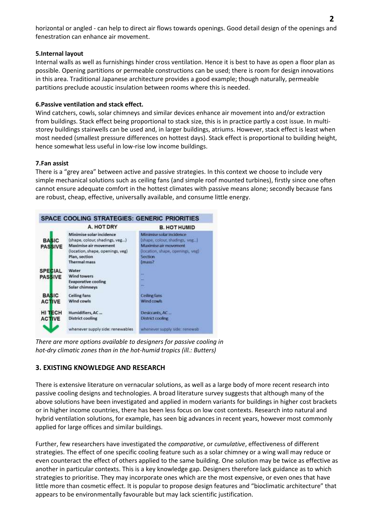horizontal or angled - can help to direct air flows towards openings. Good detail design of the openings and fenestration can enhance air movement.

### **5.Internal layout**

Internal walls as well as furnishings hinder cross ventilation. Hence it is best to have as open a floor plan as possible. Opening partitions or permeable constructions can be used; there is room for design innovations in this area. Traditional Japanese architecture provides a good example; though naturally, permeable partitions preclude acoustic insulation between rooms where this is needed.

### **6.Passive ventilation and stack effect.**

Wind catchers, cowls, solar chimneys and similar devices enhance air movement into and/or extraction from buildings. Stack effect being proportional to stack size, this is in practice partly a cost issue. In multistorey buildings stairwells can be used and, in larger buildings, atriums. However, stack effect is least when most needed (smallest pressure differences on hottest days). Stack effect is proportional to building height, hence somewhat less useful in low-rise low income buildings.

### **7.Fan assist**

There is a "grey area" between active and passive strategies. In this context we choose to include very simple mechanical solutions such as ceiling fans (and simple roof mounted turbines), firstly since one often cannot ensure adequate comfort in the hottest climates with passive means alone; secondly because fans are robust, cheap, effective, universally available, and consume little energy.



*There are more options available to designers for passive cooling in hot-dry climatic zones than in the hot-humid tropics (ill.: Butters)*

# **3. EXISTING KNOWLEDGE AND RESEARCH**

There is extensive literature on vernacular solutions, as well as a large body of more recent research into passive cooling designs and technologies. A broad literature survey suggests that although many of the above solutions have been investigated and applied in modern variants for buildings in higher cost brackets or in higher income countries, there has been less focus on low cost contexts. Research into natural and hybrid ventilation solutions, for example, has seen big advances in recent years, however most commonly applied for large offices and similar buildings.

Further, few researchers have investigated the *comparative*, or *cumulative*, effectiveness of different strategies. The effect of one specific cooling feature such as a solar chimney or a wing wall may reduce or even counteract the effect of others applied to the same building. One solution may be twice as effective as another in particular contexts. This is a key knowledge gap. Designers therefore lack guidance as to which strategies to prioritise. They may incorporate ones which are the most expensive, or even ones that have little more than cosmetic effect. It is popular to propose design features and "bioclimatic architecture" that appears to be environmentally favourable but may lack scientific justification.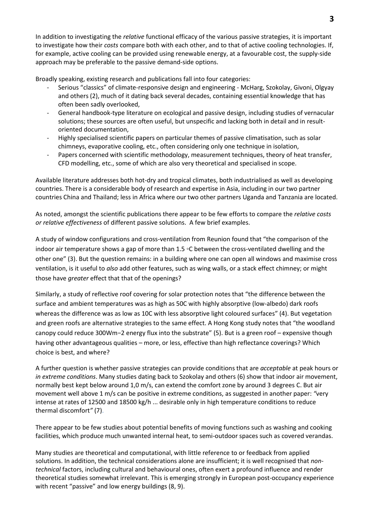In addition to investigating the *relative* functional efficacy of the various passive strategies, it is important to investigate how their *costs* compare both with each other, and to that of active cooling technologies. If, for example, active cooling can be provided using renewable energy, at a favourable cost, the supply-side approach may be preferable to the passive demand-side options.

Broadly speaking, existing research and publications fall into four categories:

- Serious "classics" of climate-responsive design and engineering McHarg, Szokolay, Givoni, Olgyay and others (2), much of it dating back several decades, containing essential knowledge that has often been sadly overlooked,
- General handbook-type literature on ecological and passive design, including studies of vernacular solutions; these sources are often useful, but unspecific and lacking both in detail and in resultoriented documentation,
- Highly specialised scientific papers on particular themes of passive climatisation, such as solar chimneys, evaporative cooling, etc., often considering only one technique in isolation,
- Papers concerned with scientific methodology, measurement techniques, theory of heat transfer, CFD modelling, etc., some of which are also very theoretical and specialised in scope.

Available literature addresses both hot-dry and tropical climates, both industrialised as well as developing countries. There is a considerable body of research and expertise in Asia, including in our two partner countries China and Thailand; less in Africa where our two other partners Uganda and Tanzania are located.

As noted, amongst the scientific publications there appear to be few efforts to compare the *relative costs or relative effectiveness* of different passive solutions. A few brief examples.

A study of window configurations and cross-ventilation from Reunion found that "the comparison of the indoor air temperature shows a gap of more than 1.5 ◦C between the cross-ventilated dwelling and the other one" (3). But the question remains: in a building where one can open all windows and maximise cross ventilation, is it useful to *also* add other features, such as wing walls, or a stack effect chimney; or might those have *greater* effect that that of the openings?

Similarly, a study of reflective roof covering for solar protection notes that "the difference between the surface and ambient temperatures was as high as 50C with highly absorptive (low-albedo) dark roofs whereas the difference was as low as 10C with less absorptive light coloured surfaces" (4). But vegetation and green roofs are alternative strategies to the same effect. A Hong Kong study notes that "the woodland canopy could reduce 300Wm−2 energy flux into the substrate" (5). But is a green roof – expensive though having other advantageous qualities – more, or less, effective than high reflectance coverings? Which choice is best, and where?

A further question is whether passive strategies can provide conditions that are *acceptable* at peak hours or *in extreme conditions*. Many studies dating back to Szokolay and others (6) show that indoor air movement, normally best kept below around 1,0 m/s, can extend the comfort zone by around 3 degrees C. But air movement well above 1 m/s can be positive in extreme conditions, as suggested in another paper: *"*very intense at rates of 12500 and 18500 kg/h ... desirable only in high temperature conditions to reduce thermal discomfort*"* (7).

There appear to be few studies about potential benefits of moving functions such as washing and cooking facilities, which produce much unwanted internal heat, to semi-outdoor spaces such as covered verandas.

Many studies are theoretical and computational, with little reference to or feedback from applied solutions. In addition, the technical considerations alone are insufficient; it is well recognised that *nontechnical* factors, including cultural and behavioural ones, often exert a profound influence and render theoretical studies somewhat irrelevant. This is emerging strongly in European post-occupancy experience with recent "passive" and low energy buildings (8, 9).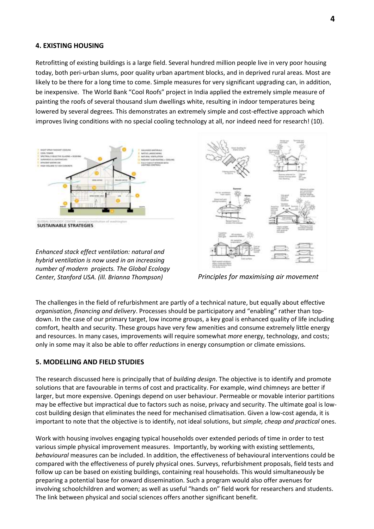### **4. EXISTING HOUSING**

Retrofitting of existing buildings is a large field. Several hundred million people live in very poor housing today, both peri-urban slums, poor quality urban apartment blocks, and in deprived rural areas. Most are likely to be there for a long time to come. Simple measures for very significant upgrading can, in addition, be inexpensive. The World Bank "Cool Roofs" project in India applied the extremely simple measure of painting the roofs of several thousand slum dwellings white, resulting in indoor temperatures being lowered by several degrees. This demonstrates an extremely simple and cost-effective approach which improves living conditions with no special cooling technology at all, nor indeed need for research! (10).



**SUSTAINABLE STRATEGIES** 

*Enhanced stack effect ventilation: natural and hybrid ventilation is now used in an increasing number of modern projects. The Global Ecology Center, Stanford USA. (ill. Brianna Thompson) Principles for maximising air movement*



The challenges in the field of refurbishment are partly of a technical nature, but equally about effective *organisation, financing and delivery*. Processes should be participatory and "enabling" rather than topdown. In the case of our primary target, low income groups, a key goal is enhanced quality of life including comfort, health and security. These groups have very few amenities and consume extremely little energy and resources. In many cases, improvements will require somewhat *more* energy, technology, and costs; only in some may it also be able to offer *reductions* in energy consumption or climate emissions.

### **5. MODELLING AND FIELD STUDIES**

The research discussed here is principally that of *building design*. The objective is to identify and promote solutions that are favourable in terms of cost and practicality. For example, wind chimneys are better if larger, but more expensive. Openings depend on user behaviour. Permeable or movable interior partitions may be effective but impractical due to factors such as noise, privacy and security. The ultimate goal is lowcost building design that eliminates the need for mechanised climatisation. Given a low-cost agenda, it is important to note that the objective is to identify, not ideal solutions, but *simple, cheap and practical* ones.

Work with housing involves engaging typical households over extended periods of time in order to test various simple physical improvement measures. Importantly, by working with existing settlements, *behavioural* measures can be included. In addition, the effectiveness of behavioural interventions could be compared with the effectiveness of purely physical ones. Surveys, refurbishment proposals, field tests and follow up can be based on existing buildings, containing real households. This would simultaneously be preparing a potential base for onward dissemination. Such a program would also offer avenues for involving schoolchildren and women; as well as useful "hands on" field work for researchers and students. The link between physical and social sciences offers another significant benefit.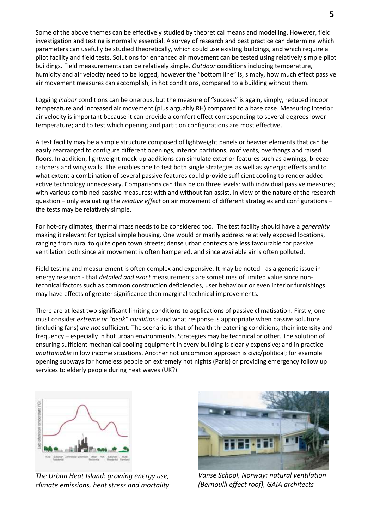Some of the above themes can be effectively studied by theoretical means and modelling. However, field investigation and testing is normally essential. A survey of research and best practice can determine which parameters can usefully be studied theoretically, which could use existing buildings, and which require a pilot facility and field tests. Solutions for enhanced air movement can be tested using relatively simple pilot buildings. Field measurements can be relatively simple. *Outdoor* conditions including temperature, humidity and air velocity need to be logged, however the "bottom line" is, simply, how much effect passive air movement measures can accomplish, in hot conditions, compared to a building without them.

Logging *indoor* conditions can be onerous, but the measure of "success" is again, simply, reduced indoor temperature and increased air movement (plus arguably RH) compared to a base case. Measuring interior air velocity is important because it can provide a comfort effect corresponding to several degrees lower temperature; and to test which opening and partition configurations are most effective.

A test facility may be a simple structure composed of lightweight panels or heavier elements that can be easily rearranged to configure different openings, interior partitions, roof vents, overhangs and raised floors. In addition, lightweight mock-up additions can simulate exterior features such as awnings, breeze catchers and wing walls. This enables one to test both single strategies as well as synergic effects and to what extent a combination of several passive features could provide sufficient cooling to render added active technology unnecessary. Comparisons can thus be on three levels: with individual passive measures; with various combined passive measures; with and without fan assist. In view of the nature of the research question – only evaluating the *relative effect* on air movement of different strategies and configurations – the tests may be relatively simple.

For hot-dry climates, thermal mass needs to be considered too. The test facility should have a *generality* making it relevant for typical simple housing. One would primarily address relatively exposed locations, ranging from rural to quite open town streets; dense urban contexts are less favourable for passive ventilation both since air movement is often hampered, and since available air is often polluted.

Field testing and measurement is often complex and expensive. It may be noted - as a generic issue in energy research - that *detailed and exact* measurements are sometimes of limited value since nontechnical factors such as common construction deficiencies, user behaviour or even interior furnishings may have effects of greater significance than marginal technical improvements.

There are at least two significant limiting conditions to applications of passive climatisation. Firstly, one must consider *extreme or "peak" conditions* and what response is appropriate when passive solutions (including fans) *are not* sufficient. The scenario is that of health threatening conditions, their intensity and frequency – especially in hot urban environments. Strategies may be technical or other. The solution of ensuring sufficient mechanical cooling equipment in every building is clearly expensive; and in practice *unattainable* in low income situations. Another not uncommon approach is civic/political; for example opening subways for homeless people on extremely hot nights (Paris) or providing emergency follow up services to elderly people during heat waves (UK?).



*The Urban Heat Island: growing energy use, climate emissions, heat stress and mortality*



*Vanse School, Norway: natural ventilation (Bernoulli effect roof), GAIA architects*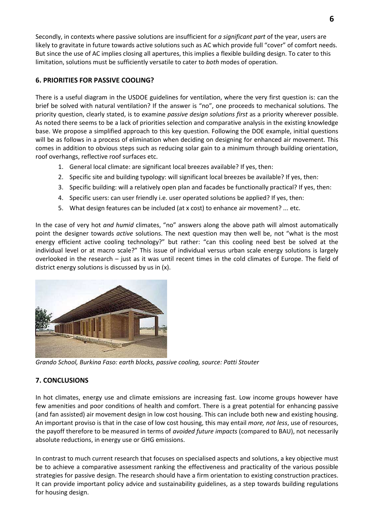Secondly, in contexts where passive solutions are insufficient for *a significant part* of the year, users are likely to gravitate in future towards active solutions such as AC which provide full "cover" of comfort needs. But since the use of AC implies closing all apertures, this implies a flexible building design. To cater to this limitation, solutions must be sufficiently versatile to cater to *both* modes of operation.

### **6. PRIORITIES FOR PASSIVE COOLING?**

There is a useful diagram in the USDOE guidelines for ventilation, where the very first question is: can the brief be solved with natural ventilation? If the answer is "no", one proceeds to mechanical solutions. The priority question, clearly stated, is to examine *passive design solutions first* as a priority wherever possible. As noted there seems to be a lack of priorities selection and comparative analysis in the existing knowledge base. We propose a simplified approach to this key question. Following the DOE example, initial questions will be as follows in a process of elimination when deciding on designing for enhanced air movement. This comes in addition to obvious steps such as reducing solar gain to a minimum through building orientation, roof overhangs, reflective roof surfaces etc.

- 1. General local climate: are significant local breezes available? If yes, then:
- 2. Specific site and building typology: will significant local breezes be available? If yes, then:
- 3. Specific building: will a relatively open plan and facades be functionally practical? If yes, then:
- 4. Specific users: can user friendly i.e. user operated solutions be applied? If yes, then:
- 5. What design features can be included (at x cost) to enhance air movement? ... etc.

In the case of very hot *and humid* climates, "no" answers along the above path will almost automatically point the designer towards *active* solutions. The next question may then well be, not "what is the most energy efficient active cooling technology?" but rather: "can this cooling need best be solved at the individual level or at macro scale?" This issue of individual versus urban scale energy solutions is largely overlooked in the research – just as it was until recent times in the cold climates of Europe. The field of district energy solutions is discussed by us in (x).



*Grando School, Burkina Faso: earth blocks, passive cooling, source: Patti Stouter*

# **7. CONCLUSIONS**

In hot climates, energy use and climate emissions are increasing fast. Low income groups however have few amenities and poor conditions of health and comfort. There is a great potential for enhancing passive (and fan assisted) air movement design in low cost housing. This can include both new and existing housing. An important proviso is that in the case of low cost housing, this may entail *more, not less*, use of resources, the payoff therefore to be measured in terms of *avoided future impacts* (compared to BAU), not necessarily absolute reductions, in energy use or GHG emissions.

In contrast to much current research that focuses on specialised aspects and solutions, a key objective must be to achieve a comparative assessment ranking the effectiveness and practicality of the various possible strategies for passive design. The research should have a firm orientation to existing construction practices. It can provide important policy advice and sustainability guidelines, as a step towards building regulations for housing design.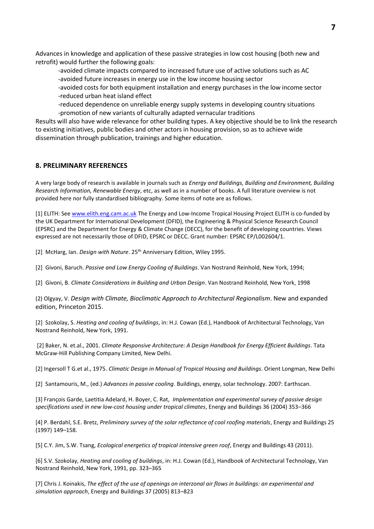Advances in knowledge and application of these passive strategies in low cost housing (both new and retrofit) would further the following goals:

-avoided climate impacts compared to increased future use of active solutions such as AC -avoided future increases in energy use in the low income housing sector

-avoided costs for both equipment installation and energy purchases in the low income sector -reduced urban heat island effect

-reduced dependence on unreliable energy supply systems in developing country situations -promotion of new variants of culturally adapted vernacular traditions

Results will also have wide relevance for other building types. A key objective should be to link the research to existing initiatives, public bodies and other actors in housing provision, so as to achieve wide dissemination through publication, trainings and higher education.

#### **8. PRELIMINARY REFERENCES**

A very large body of research is available in journals such as *Energy and Buildings, Building and Environment, Building Research Information, Renewable Energy*, etc, as well as in a number of books. A full literature overview is not provided here nor fully standardised bibliography. Some items of note are as follows.

[1] ELITH: See [www.elith.eng.cam.ac.uk](http://www.elith.eng.cam.ac.uk/) The Energy and Low-Income Tropical Housing Project ELITH is co-funded by the UK Department for International Development (DFID), the Engineering & Physical Science Research Council (EPSRC) and the Department for Energy & Climate Change (DECC), for the benefit of developing countries. Views expressed are not necessarily those of DFID, EPSRC or DECC. Grant number: EPSRC EP/L002604/1.

[2] McHarg, Ian. *Design with Nature*. 25th Anniversary Edition, Wiley 1995.

[2] Givoni, Baruch. *Passive and Low Energy Cooling of Buildings*. Van Nostrand Reinhold, New York, 1994;

[2] Givoni, B. *Climate Considerations in Building and Urban Design*. Van Nostrand Reinhold, New York, 1998

(2) Olgyay, V. *Design with Climate, Bioclimatic Approach to Architectural Regionalism*. New and expanded edition, Princeton 2015.

[2] Szokolay, S. *Heating and cooling of buildings*, in: H.J. Cowan (Ed.), Handbook of Architectural Technology, Van Nostrand Reinhold, New York, 1991.

[2] Baker, N. et.al., 2001. *Climate Responsive Architecture: A Design Handbook for Energy Efficient Buildings*. Tata McGraw-Hill Publishing Company Limited, New Delhi.

[2] Ingersoll T G.et al., 1975. *Climatic Design in Manual of Tropical Housing and Buildings*. Orient Longman, New Delhi

[2] Santamouris, M., (ed.) *Advances in passive cooling*. Buildings, energy, solar technology. 2007: Earthscan.

[3] François Garde, Laetitia Adelard, H. Boyer, C. Rat, *Implementation and experimental survey of passive design specifications used in new low-cost housing under tropical climates*, Energy and Buildings 36 (2004) 353–366

[4] P. Berdahl, S.E. Bretz, *Preliminary survey of the solar reflectance of cool roofing materials*, Energy and Buildings 25 (1997) 149–158.

[5] C.Y. Jim, S.W. Tsang, *Ecological energetics of tropical intensive green roof*, Energy and Buildings 43 (2011).

[6] S.V. Szokolay, *Heating and cooling of buildings*, in: H.J. Cowan (Ed.), Handbook of Architectural Technology, Van Nostrand Reinhold, New York, 1991, pp. 323–365

[7] Chris J. Koinakis, *The effect of the use of openings on interzonal air flows in buildings: an experimental and simulation approach*, Energy and Buildings 37 (2005) 813–823